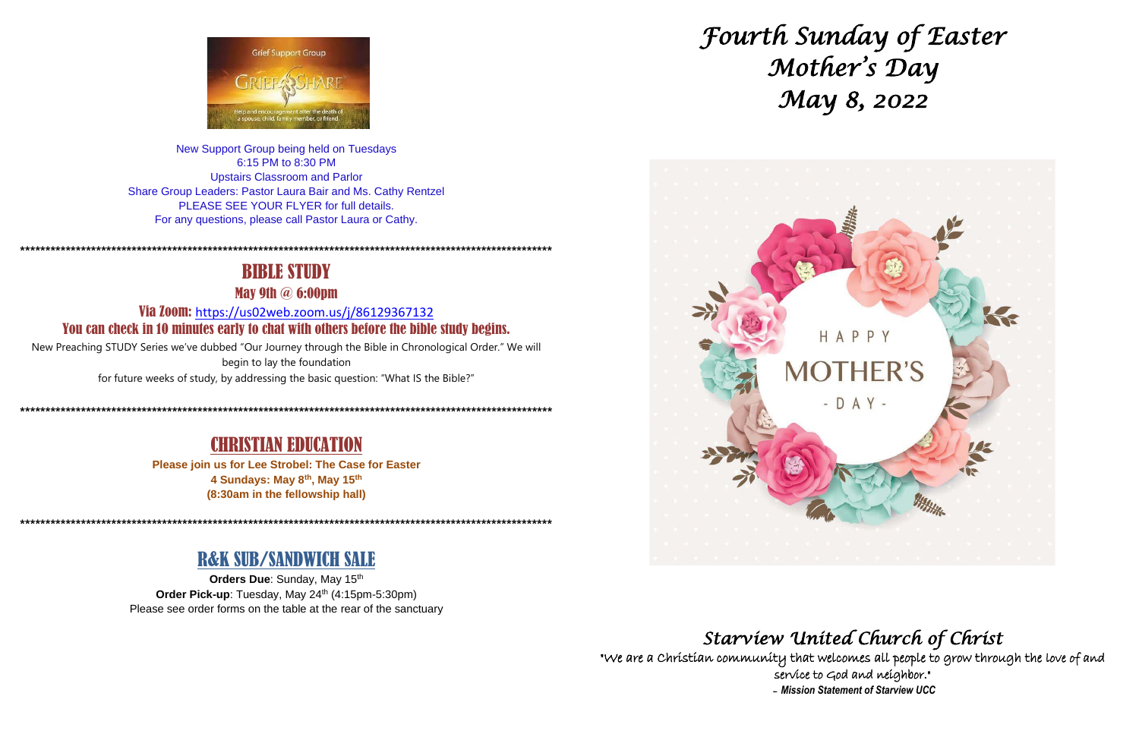

New Support Group being held on Tuesdays 6:15 PM to 8:30 PM **Upstairs Classroom and Parlor** Share Group Leaders: Pastor Laura Bair and Ms. Cathy Rentzel PLEASE SEE YOUR FLYER for full details. For any questions, please call Pastor Laura or Cathy.

# **BIBLE STUDY**

**May 9th @ 6:00pm** 

Via Zoom: https://us02web.zoom.us/j/86129367132 You can check in 10 minutes early to chat with others before the bible study begins.

New Preaching STUDY Series we've dubbed "Our Journey through the Bible in Chronological Order." We will begin to lay the foundation for future weeks of study, by addressing the basic question: "What IS the Bible?"

# **CHRISTIAN EDUCATION**

Please join us for Lee Strobel: The Case for Easter 4 Sundays: May 8th, May 15th (8:30am in the fellowship hall)

# **R&K SUB/SANDWICH SALE**

Orders Due: Sunday, May 15th Order Pick-up: Tuesday, May 24th (4:15pm-5:30pm) Please see order forms on the table at the rear of the sanctuary



"We are a Christian community that welcomes all people to grow through the love of and service to God and neighbor." - Mission Statement of Starview UCC



# Starview United Church of Christ